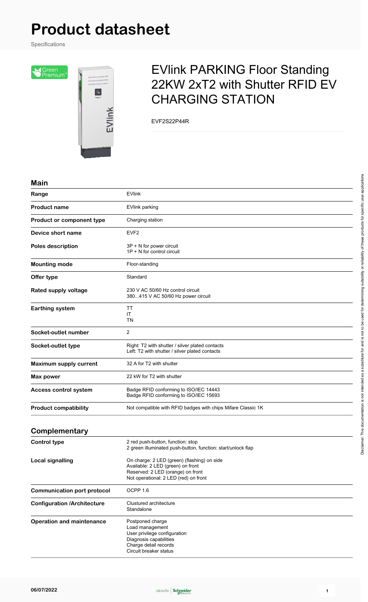# **Product datasheet**

Specifications

Screen<br>Premium<sup>r</sup>



## EVlink PARKING Floor Standing 22KW 2xT2 with Shutter RFID EV CHARGING STATION

EVF2S22P44R

#### **Main**

| Range                              | <b>EVlink</b>                                                                                                                                                  |
|------------------------------------|----------------------------------------------------------------------------------------------------------------------------------------------------------------|
| <b>Product name</b>                | EVlink parking                                                                                                                                                 |
| Product or component type          | Charging station                                                                                                                                               |
| Device short name                  | EVF <sub>2</sub>                                                                                                                                               |
| <b>Poles description</b>           | 3P + N for power circuit<br>1P + N for control circuit                                                                                                         |
| <b>Mounting mode</b>               | Floor-standing                                                                                                                                                 |
| Offer type                         | Standard                                                                                                                                                       |
| Rated supply voltage               | 230 V AC 50/60 Hz control circuit<br>380415 V AC 50/60 Hz power circuit                                                                                        |
| <b>Earthing system</b>             | ΤT<br>ΙT<br>TN                                                                                                                                                 |
| Socket-outlet number               | 2                                                                                                                                                              |
| Socket-outlet type                 | Right: T2 with shutter / silver plated contacts<br>Left: T2 with shutter / silver plated contacts                                                              |
| Maximum supply current             | 32 A for T2 with shutter                                                                                                                                       |
| Max power                          | 22 kW for T2 with shutter                                                                                                                                      |
| <b>Access control system</b>       | Badge RFID conforming to ISO/IEC 14443<br>Badge RFID conforming to ISO/IEC 15693                                                                               |
| <b>Product compatibility</b>       | Not compatible with RFID badges with chips Mifare Classic 1K                                                                                                   |
| Complementary                      |                                                                                                                                                                |
| <b>Control type</b>                | 2 red push-button, function: stop<br>2 green illuminated push-button, function: start/unlock flap                                                              |
| <b>Local signalling</b>            | On charge: 2 LED (green) (flashing) on side<br>Available: 2 LED (green) on front<br>Reserved: 2 LED (orange) on front<br>Not operational: 2 LED (red) on front |
| <b>Communication port protocol</b> | OCPP <sub>1.6</sub>                                                                                                                                            |
| <b>Configuration /Architecture</b> | Clustured architecture<br>Standalone                                                                                                                           |
|                                    |                                                                                                                                                                |

**Operation and maintenance** Postponed charge Load management User privilege configuration Diagnosis capabilities Charge detail records Circuit breaker status